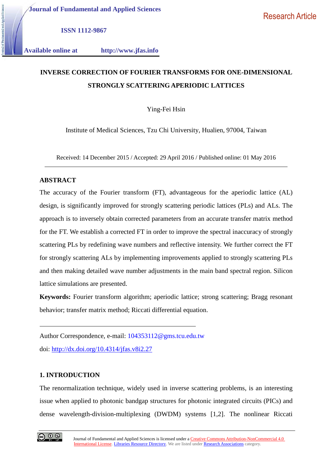**Journal of Fundamental and Applied Sciences** 

Research Article

**ISSN 1112-9867** 

**Available online at http://www.jfas.info** 

and Applied Scien

# **INVERSE CORRECTION OF FOURIER TRANSFORMS FOR ONE-DIMENSIONAL STRONGLY SCATTERING APERIODIC LATTICES**

Ying-Fei Hsin

Institute of Medical Sciences, Tzu Chi University, Hualien, 97004, Taiwan

Received: 14 December 2015 / Accepted: 29 April 2016 / Published online: 01 May 2016

## **ABSTRACT**

The accuracy of the Fourier transform (FT), advantageous for the aperiodic lattice (AL) design, is significantly improved for strongly scattering periodic lattices (PLs) and ALs. The approach is to inversely obtain corrected parameters from an accurate transfer matrix method for the FT. We establish a corrected FT in order to improve the spectral inaccuracy of strongly scattering PLs by redefining wave numbers and reflective intensity. We further correct the FT for strongly scattering ALs by implementing improvements applied to strongly scattering PLs and then making detailed wave number adjustments in the main band spectral region. Silicon lattice simulations are presented.

**Keywords:** Fourier transform algorithm; aperiodic lattice; strong scattering; Bragg resonant behavior; transfer matrix method; Riccati differential equation.

Author Correspondence, e-mail: 104353112@gms.tcu.edu.tw doi: http://dx.doi.org/10.4314/jfas.v8i2.27

## **1. INTRODUCTION**

The renormalization technique, widely used in inverse scattering problems, is an interesting issue when applied to photonic bandgap structures for photonic integrated circuits (PICs) and dense wavelength-division-multiplexing (DWDM) systems [1,2]. The nonlinear Riccati

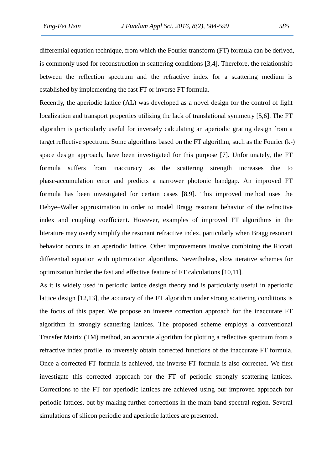differential equation technique, from which the Fourier transform (FT) formula can be derived, is commonly used for reconstruction in scattering conditions [3,4]. Therefore, the relationship between the reflection spectrum and the refractive index for a scattering medium is established by implementing the fast FT or inverse FT formula.

Recently, the aperiodic lattice (AL) was developed as a novel design for the control of light localization and transport properties utilizing the lack of translational symmetry [5,6]. The FT algorithm is particularly useful for inversely calculating an aperiodic grating design from a target reflective spectrum. Some algorithms based on the FT algorithm, such as the Fourier (k-) space design approach, have been investigated for this purpose [7]. Unfortunately, the FT formula suffers from inaccuracy as the scattering strength increases due to phase-accumulation error and predicts a narrower photonic bandgap. An improved FT formula has been investigated for certain cases [8,9]. This improved method uses the Debye–Waller approximation in order to model Bragg resonant behavior of the refractive index and coupling coefficient. However, examples of improved FT algorithms in the literature may overly simplify the resonant refractive index, particularly when Bragg resonant behavior occurs in an aperiodic lattice. Other improvements involve combining the Riccati differential equation with optimization algorithms. Nevertheless, slow iterative schemes for optimization hinder the fast and effective feature of FT calculations [10,11].

As it is widely used in periodic lattice design theory and is particularly useful in aperiodic lattice design [12,13], the accuracy of the FT algorithm under strong scattering conditions is the focus of this paper. We propose an inverse correction approach for the inaccurate FT algorithm in strongly scattering lattices. The proposed scheme employs a conventional Transfer Matrix (TM) method, an accurate algorithm for plotting a reflective spectrum from a refractive index profile, to inversely obtain corrected functions of the inaccurate FT formula. Once a corrected FT formula is achieved, the inverse FT formula is also corrected. We first investigate this corrected approach for the FT of periodic strongly scattering lattices. Corrections to the FT for aperiodic lattices are achieved using our improved approach for periodic lattices, but by making further corrections in the main band spectral region. Several simulations of silicon periodic and aperiodic lattices are presented.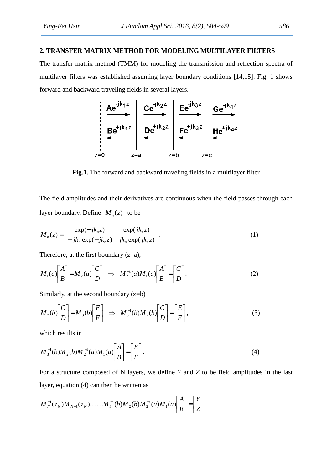### **2. TRANSFER MATRIX METHOD FOR MODELING MULTILAYER FILTERS**

The transfer matrix method (TMM) for modeling the transmission and reflection spectra of multilayer filters was established assuming layer boundary conditions [14,15]. Fig. 1 shows forward and backward traveling fields in several layers.



**Fig.1.** The forward and backward traveling fields in a multilayer filter

The field amplitudes and their derivatives are continuous when the field passes through each layer boundary. Define  $M_n(z)$  to be

$$
M_n(z) = \begin{bmatrix} \exp(-jk_n z) & \exp(jk_n z) \\ -jk_n \exp(-jk_n z) & jk_n \exp(jk_n z) \end{bmatrix}.
$$
 (1)

Therefore, at the first boundary  $(z=a)$ ,

$$
M_1(a)\begin{bmatrix} A \\ B \end{bmatrix} = M_2(a)\begin{bmatrix} C \\ D \end{bmatrix} \implies M_2^{-1}(a)M_1(a)\begin{bmatrix} A \\ B \end{bmatrix} = \begin{bmatrix} C \\ D \end{bmatrix}.
$$
 (2)

Similarly, at the second boundary  $(z=b)$ 

$$
M_2(b) \begin{bmatrix} C \\ D \end{bmatrix} = M_3(b) \begin{bmatrix} E \\ F \end{bmatrix} \implies M_3^{-1}(b) M_2(b) \begin{bmatrix} C \\ D \end{bmatrix} = \begin{bmatrix} E \\ F \end{bmatrix},
$$
 (3)

which results in

$$
M_3^{-1}(b)M_2(b)M_2^{-1}(a)M_1(a)\begin{bmatrix} A \\ B \end{bmatrix} = \begin{bmatrix} E \\ F \end{bmatrix}.
$$
 (4)

For a structure composed of N layers, we define *Y* and *Z* to be field amplitudes in the last layer, equation (4) can then be written as

$$
M_N^{-1}(z_N)M_{N-1}(z_N) \dots M_3^{-1}(b)M_2(b)M_2^{-1}(a)M_1(a)\begin{bmatrix} A \\ B \end{bmatrix} = \begin{bmatrix} Y \\ Z \end{bmatrix}
$$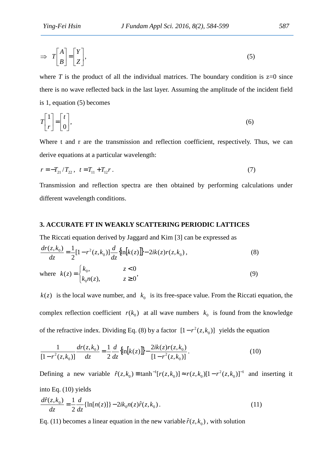$$
\Rightarrow T\begin{bmatrix} A \\ B \end{bmatrix} = \begin{bmatrix} Y \\ Z \end{bmatrix},\tag{5}
$$

where  $T$  is the product of all the individual matrices. The boundary condition is  $z=0$  since there is no wave reflected back in the last layer. Assuming the amplitude of the incident field is 1, equation (5) becomes

$$
T\begin{bmatrix} 1 \\ r \end{bmatrix} = \begin{bmatrix} t \\ 0 \end{bmatrix},\tag{6}
$$

Where t and r are the transmission and reflection coefficient, respectively. Thus, we can derive equations at a particular wavelength:

$$
r = -T_{21}/T_{22}, \quad t = T_{11} + T_{12}r \tag{7}
$$

Transmission and reflection spectra are then obtained by performing calculations under different wavelength conditions.

### **3. ACCURATE FT IN WEAKLY SCATTERING PERIODIC LATTICES**

The Riccati equation derived by Jaggard and Kim [3] can be expressed as

$$
\frac{dr(z,k_0)}{dz} = \frac{1}{2} [1 - r^2(z,k_0)] \frac{d}{dz} \{ \ln[k(z)] \} - 2ik(z)r(z,k_0),
$$
\n(8)

where 
$$
k(z) = \begin{cases} k_0, & z < 0 \\ k_0 n(z), & z \ge 0 \end{cases}
$$
 (9)

 $k(z)$  is the local wave number, and  $k_0$  is its free-space value. From the Riccati equation, the complex reflection coefficient  $r(k_0)$  at all wave numbers  $k_0$  is found from the knowledge of the refractive index. Dividing Eq. (8) by a factor  $[1 - r^2(z, k_0)]$  yields the equation

$$
\frac{1}{[1 - r^2(z, k_0)]} \frac{dr(z, k_0)}{dz} = \frac{1}{2} \frac{d}{dz} \{ \ln[k(z)] \} - \frac{2ik(z)r(z, k_0)}{[1 - r^2(z, k_0)]}.
$$
\n(10)

Defining a new variable  $\hat{r}(z, k_0) \equiv \tanh^{-1}[r(z, k_0)] \approx r(z, k_0)[1 - r^2(z, k_0)]^{-1}$ 2  $_{0}$ <sub>U</sub>  $_{\sim}$   $_{\sim}$   $_{\sim}$   $_{\sim}$   $_{\sim}$   $_{\sim}$   $_{\sim}$   $_{\sim}$   $_{\sim}$   $_{\sim}$   $_{\sim}$   $_{\sim}$   $_{\sim}$   $_{\sim}$   $_{\sim}$   $_{\sim}$   $_{\sim}$   $_{\sim}$   $_{\sim}$   $_{\sim}$   $_{\sim}$   $_{\sim}$   $_{\sim}$   $_{\sim}$   $_{\sim}$   $_{\sim}$   $_{\sim}$   $_{\sim}$   $_{\sim}$   $_{\sim}$   $_{$ 1  $\hat{r}(z, k_0) \equiv \tanh^{-1}[r(z, k_0)] \approx r(z, k_0)[1 - r^2(z, k_0)]^{-1}$  and inserting it into Eq. (10) yields  ${\ln [n(z)]} - 2ik_0 n(z)\hat{r}(z, k_0)$ 2  $\hat{r}(z, k_0) = 1$  $\frac{\partial^2}{\partial t^2} = \frac{1}{2} \frac{d}{dt} \left\{ \ln[n(z)] \right\} - 2ik_0 n(z) \hat{r}(z, k_0)$ *dz d dz*  $\frac{d\hat{r}(z,k_0)}{dt} = \frac{1}{2} \frac{d}{dt} \{ \ln[n(z)] \} - 2ik_0 n(z)\hat{r}(z,k_0).$  (11)

Eq. (11) becomes a linear equation in the new variable  $\hat{r}(z, k_0)$ , with solution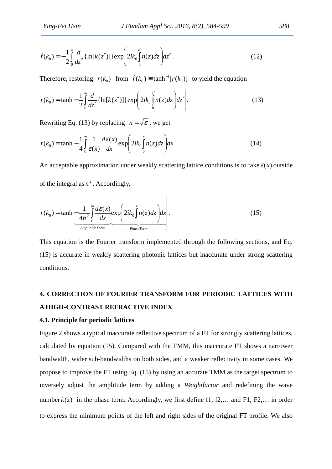$$
\hat{r}(k_0) = -\frac{1}{2} \int_0^\infty \frac{d}{dz''} \{ \ln[k(z'')] \} \exp\left( 2ik_0 \int_0^{z''} n(z) dz \right) dz''.
$$
\n(12)

Therefore, restoring  $r(k_0)$  from  $\hat{r}(k_0) \equiv \tanh^{-1}[r(k_0)]$ 1  $\hat{r}(k_0) \equiv \tanh^{-1}[r(k_0)]$  to yield the equation

$$
r(k_0) = \tanh\left[-\frac{1}{2}\int_0^{\infty} \frac{d}{dz''}\{\ln[k(z'')]\}\exp\left(2ik_0\int_0^{z''} n(z)dz\right)dz''\right].
$$
 (13)

Rewriting Eq. (13) by replacing  $n = \sqrt{\varepsilon}$ , we get

$$
r(k_0) = \tanh\left[-\frac{1}{4}\int_0^\infty \frac{1}{\mathcal{E}(x)}\frac{d\mathcal{E}(x)}{dx} \exp\left(2ik_0\int_0^x n(z)dz\right)dx\right].
$$
 (14)

An acceptable approximation under weakly scattering lattice conditions is to take  $\varepsilon(x)$  outside of the integral as  $\overline{n}^2$ . Accordingly,

$$
r(k_0) = \tanh\left[\frac{1}{4\overline{n}^2}\int_0^\infty \frac{d\mathcal{E}(x)}{dx} \exp\left(2ik_0\int_0^x n(z)dz\right)dx\right].
$$
 (15)

This equation is the Fourier transform implemented through the following sections, and Eq. (15) is accurate in weakly scattering photonic lattices but inaccurate under strong scattering conditions.

# **4. CORRECTION OF FOURIER TRANSFORM FOR PERIODIC LATTICES WITH A HIGH-CONTRAST REFRACTIVE INDEX**

#### **4.1. Principle for periodic lattices**

Figure 2 shows a typical inaccurate reflective spectrum of a FT for strongly scattering lattices, calculated by equation (15). Compared with the TMM, this inaccurate FT shows a narrower bandwidth, wider sub-bandwidths on both sides, and a weaker reflectivity in some cases. We propose to improve the FT using Eq. (15) by using an accurate TMM as the target spectrum to inversely adjust the amplitude term by adding a *Weightfactor* and redefining the wave number  $k(z)$  in the phase term. Accordingly, we first define f1, f2,... and F1, F2,... in order to express the minimum points of the left and right sides of the original FT profile. We also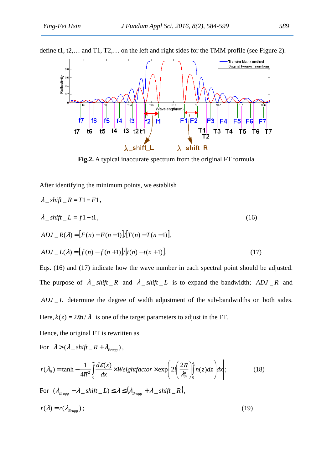

define t1, t2,… and T1, T2,… on the left and right sides for the TMM profile (see Figure 2).

**Fig.2.** A typical inaccurate spectrum from the original FT formula

After identifying the minimum points, we establish

$$
\lambda_{s} = \frac{\lambda_{s}}{\lambda_{s}} + \frac{\lambda_{s}}{\lambda_{s}} = \frac{\lambda_{s}}{\lambda_{s}} + \frac{\lambda_{s}}{\lambda_{s}} = \frac{\lambda_{s}}{\lambda_{s}} + \frac{\lambda_{s}}{\lambda_{s}} = \frac{\lambda_{s}}{\lambda_{s}} + \frac{\lambda_{s}}{\lambda_{s}} = \frac{\lambda_{s}}{\lambda_{s}} + \frac{\lambda_{s}}{\lambda_{s}} = \frac{\lambda_{s}}{\lambda_{s}} + \frac{\lambda_{s}}{\lambda_{s}} = \frac{\lambda_{s}}{\lambda_{s}} + \frac{\lambda_{s}}{\lambda_{s}} = \frac{\lambda_{s}}{\lambda_{s}} + \frac{\lambda_{s}}{\lambda_{s}} = \frac{\lambda_{s}}{\lambda_{s}} + \frac{\lambda_{s}}{\lambda_{s}} = \frac{\lambda_{s}}{\lambda_{s}} + \frac{\lambda_{s}}{\lambda_{s}} = \frac{\lambda_{s}}{\lambda_{s}} + \frac{\lambda_{s}}{\lambda_{s}} = \frac{\lambda_{s}}{\lambda_{s}} + \frac{\lambda_{s}}{\lambda_{s}} = \frac{\lambda_{s}}{\lambda_{s}} + \frac{\lambda_{s}}{\lambda_{s}} = \frac{\lambda_{s}}{\lambda_{s}} + \frac{\lambda_{s}}{\lambda_{s}} = \frac{\lambda_{s}}{\lambda_{s}} = \frac{\lambda_{s}}{\lambda_{s}} + \frac{\lambda_{s}}{\lambda_{s}} = \frac{\lambda_{s}}{\lambda_{s}} = \frac{\lambda_{s}}{\lambda_{s}} = \frac{\lambda_{s}}{\lambda_{s}} = \frac{\lambda_{s}}{\lambda_{s}} = \frac{\lambda_{s}}{\lambda_{s}} = \frac{\lambda_{s}}{\lambda_{s}} = \frac{\lambda_{s}}{\lambda_{s}} = \frac{\lambda_{s}}{\lambda_{s}} = \frac{\lambda_{s}}{\lambda_{s}} = \frac{\lambda_{s}}{\lambda_{s}} = \frac{\lambda_{s}}{\lambda_{s}} = \frac{\lambda_{s}}{\lambda_{s}} = \frac{\lambda_{s}}{\lambda_{s}} = \frac{\lambda_{s}}{\lambda_{s}} = \frac{\lambda_{s}}{\lambda_{s}} = \frac{\lambda_{s}}{\lambda_{s}} = \frac{\lambda_{s}}{\lambda_{s}} = \frac{\lambda_{s}}{\lambda_{s}} = \frac{\lambda_{s}}{\lambda_{s}} = \frac{\lambda_{s}}{\lambda_{s}} = \frac{\lambda_{s}}{\lambda_{s}} = \frac{\lambda_{s}}{\lambda_{s}} = \frac{\lambda_{s}}{\lambda_{s}} = \frac{\lambda_{s}}{\lambda_{s}} = \frac{\lambda_{s}}{\lambda_{s}} = \frac{\lambda_{s}}{\lambda_{s}} = \frac{\lambda_{s}}{\lambda_{s}} =
$$

Eqs. (16) and (17) indicate how the wave number in each spectral point should be adjusted. The purpose of  $\lambda_{\text{B}} \cdot \text{shift}_{\text{B}} R$  and  $\lambda_{\text{B}} \cdot \text{shift}_{\text{B}} L$  is to expand the bandwidth; ADJ \_ R and *ADJ* \_ *L* determine the degree of width adjustment of the sub-bandwidths on both sides. Here,  $k(z) = 2\pi n/\lambda$  is one of the target parameters to adjust in the FT.

Hence, the original FT is rewritten as

For 
$$
\lambda > (\lambda \_shift\_R + \lambda_{Bragg})
$$
,  
\n
$$
r(\lambda_R) = \tanh \left| -\frac{1}{4\overline{n}^2} \int_0^{\infty} \frac{d\epsilon(x)}{dx} \times Weightfactor \times \exp\left( 2i \left( \frac{2\pi}{\lambda_R^a} \right) \int_0^x n(z) dz \right) dx \right|;
$$
\n(18)  
\nFor  $(\lambda_{Bragg} - \lambda \_shift\_L) \le \lambda \le (\lambda_{Bragg} + \lambda \_shift\_R),$   
\n
$$
r(\lambda) = r(\lambda_{Bragg}) ;
$$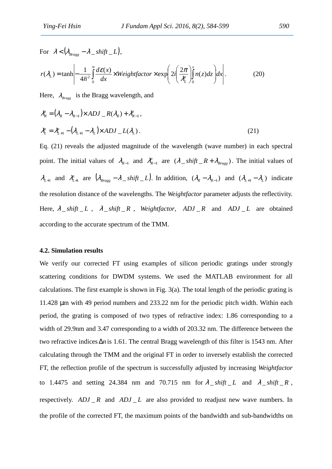For  $\lambda < (\lambda_{Brago} - \lambda \_ shift \_L)$ ,

$$
r(\lambda_L) = \tanh\left[-\frac{1}{4\overline{n}^2}\int_0^\infty \frac{d\mathcal{E}(x)}{dx} \times Weightfactor \times \exp\left(2i\left(\frac{2\pi}{\lambda_L^a}\right)_0^\infty n(z)dz\right)dx\right].
$$
 (20)

Here,  $\lambda_{\text{Brass}}$  is the Bragg wavelength, and

$$
\lambda_R^a = (\lambda_R - \lambda_{R-1}) \times ADJ_R(\lambda_R) + \lambda_{R-1}^a,
$$
  

$$
\lambda_L^a = \lambda_{L+1}^a - (\lambda_{L+1} - \lambda_L) \times ADJ_L(\lambda_L).
$$
 (21)

Eq. (21) reveals the adjusted magnitude of the wavelength (wave number) in each spectral point. The initial values of  $\lambda_{R-1}$  and  $\lambda_{R-1}^a$  are  $(\lambda \_shift \_R + \lambda_{Bragg})$ . The initial values of  $\lambda_{L+1}$  and  $\lambda_{L+1}^a$  are  $(\lambda_{Bragg} - \lambda \_shift \_L)$ . In addition,  $(\lambda_R - \lambda_{R-1})$  and  $(\lambda_{L+1} - \lambda_L)$  indicate the resolution distance of the wavelengths. The *Weightfactor* parameter adjusts the reflectivity. Here,  $\lambda \_shift \_L$ ,  $\lambda \_shift \_R$ , *Weightfactor*,  $ADJ \_R$  and  $ADJ \_L$  are obtained according to the accurate spectrum of the TMM.

### **4.2. Simulation results**

We verify our corrected FT using examples of silicon periodic gratings under strongly scattering conditions for DWDM systems. We used the MATLAB environment for all calculations. The first example is shown in Fig. 3(a). The total length of the periodic grating is 11.428 µm with 49 period numbers and 233.22 nm for the periodic pitch width. Within each period, the grating is composed of two types of refractive index: 1.86 corresponding to a width of 29.9nm and 3.47 corresponding to a width of 203.32 nm. The difference between the two refractive indices ∆*n* is 1.61. The central Bragg wavelength of this filter is 1543 nm. After calculating through the TMM and the original FT in order to inversely establish the corrected FT, the reflection profile of the spectrum is successfully adjusted by increasing *Weightfactor*  to 1.4475 and setting 24.384 nm and 70.715 nm for  $\lambda$  shift L and  $\lambda$  shift R, respectively.  $ADJ_R$  and  $ADJ_L$  are also provided to readjust new wave numbers. In the profile of the corrected FT, the maximum points of the bandwidth and sub-bandwidths on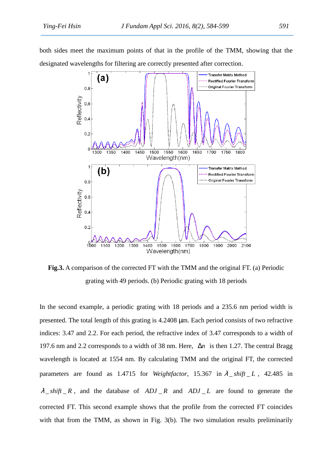

both sides meet the maximum points of that in the profile of the TMM, showing that the designated wavelengths for filtering are correctly presented after correction.

**Fig.3.** A comparison of the corrected FT with the TMM and the original FT. (a) Periodic grating with 49 periods. (b) Periodic grating with 18 periods

In the second example, a periodic grating with 18 periods and a 235.6 nm period width is presented. The total length of this grating is 4.2408 µm. Each period consists of two refractive indices: 3.47 and 2.2. For each period, the refractive index of 3.47 corresponds to a width of 197.6 nm and 2.2 corresponds to a width of 38 nm. Here, ∆*n* is then 1.27. The central Bragg wavelength is located at 1554 nm. By calculating TMM and the original FT, the corrected parameters are found as 1.4715 for *Weightfactor*, 15.367 in  $\lambda$  *shift*  $L$ , 42.485 in  $\lambda$ <sub>-</sub>*shift*<sub>-</sub> $R$ , and the database of  $ADJ$ <sub>-</sub> $R$  and  $ADJ$ <sub>-</sub> $L$  are found to generate the corrected FT. This second example shows that the profile from the corrected FT coincides with that from the TMM, as shown in Fig. 3(b). The two simulation results preliminarily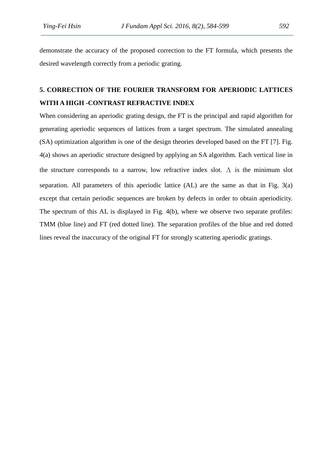demonstrate the accuracy of the proposed correction to the FT formula, which presents the desired wavelength correctly from a periodic grating.

## **5. CORRECTION OF THE FOURIER TRANSFORM FOR APERIODIC LATTICES WITH A HIGH -CONTRAST REFRACTIVE INDEX**

When considering an aperiodic grating design, the FT is the principal and rapid algorithm for generating aperiodic sequences of lattices from a target spectrum. The simulated annealing (SA) optimization algorithm is one of the design theories developed based on the FT [7]. Fig. 4(a) shows an aperiodic structure designed by applying an SA algorithm. Each vertical line in the structure corresponds to a narrow, low refractive index slot.  $\Lambda$  is the minimum slot separation. All parameters of this aperiodic lattice (AL) are the same as that in Fig. 3(a) except that certain periodic sequences are broken by defects in order to obtain aperiodicity. The spectrum of this AL is displayed in Fig. 4(b), where we observe two separate profiles: TMM (blue line) and FT (red dotted line). The separation profiles of the blue and red dotted lines reveal the inaccuracy of the original FT for strongly scattering aperiodic gratings.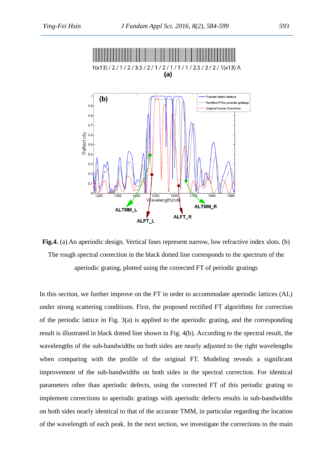

**Fig.4.** (a) An aperiodic design. Vertical lines represent narrow, low refractive index slots. (b) The rough spectral correction in the black dotted line corresponds to the spectrum of the aperiodic grating, plotted using the corrected FT of periodic gratings

In this section, we further improve on the FT in order to accommodate aperiodic lattices (AL) under strong scattering conditions. First, the proposed rectified FT algorithms for correction of the periodic lattice in Fig. 3(a) is applied to the aperiodic grating, and the corresponding result is illustrated in black dotted line shown in Fig. 4(b). According to the spectral result, the wavelengths of the sub-bandwidths on both sides are nearly adjusted to the right wavelengths when comparing with the profile of the original FT. Modeling reveals a significant improvement of the sub-bandwidths on both sides in the spectral correction. For identical parameters other than aperiodic defects, using the corrected FT of this periodic grating to implement corrections to aperiodic gratings with aperiodic defects results in sub-bandwidths on both sides nearly identical to that of the accurate TMM, in particular regarding the location of the wavelength of each peak. In the next section, we investigate the corrections to the main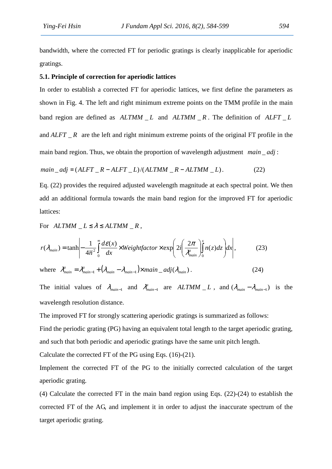bandwidth, where the corrected FT for periodic gratings is clearly inapplicable for aperiodic gratings.

## **5.1. Principle of correction for aperiodic lattices**

In order to establish a corrected FT for aperiodic lattices, we first define the parameters as shown in Fig. 4. The left and right minimum extreme points on the TMM profile in the main band region are defined as  $ALTMM \_L$  and  $ALTMM \_R$ . The definition of  $ALFT \_L$ and  $ALFT$   $\overline{R}$  are the left and right minimum extreme points of the original FT profile in the main band region. Thus, we obtain the proportion of wavelength adjustment *main* \_adj:

$$
main\_adj = (ALFT\_R - ALFT\_L)/(ALTMM\_R - ALTMM\_L). \tag{22}
$$

Eq. (22) provides the required adjusted wavelength magnitude at each spectral point. We then add an additional formula towards the main band region for the improved FT for aperiodic lattices:

For  $ALTMM$   $L \leq \lambda \leq ALTMM$  R,

$$
r(\lambda_{\text{main}}) = \tanh\left[-\frac{1}{4\overline{n}^2}\int_0^{\infty}\frac{d\epsilon(x)}{dx} \times Weightfactor \times \exp\left(2i\left(\frac{2\pi}{\lambda_{\text{main}}^a}\right)\int_0^x n(z)dz\right)dx\right],
$$
 (23)

where 
$$
\lambda_{\text{main}}^a = \lambda_{\text{main}-1}^a + (\lambda_{\text{main}} - \lambda_{\text{main}-1}) \times \text{main}_- adj(\lambda_{\text{main}}).
$$
 (24)

The initial values of  $\lambda_{main-1}$  and  $\lambda_{main-1}^a$  are  $ALTMM \_L$ , and  $(\lambda_{main} - \lambda_{main-1})$  is the wavelength resolution distance.

The improved FT for strongly scattering aperiodic gratings is summarized as follows:

Find the periodic grating (PG) having an equivalent total length to the target aperiodic grating, and such that both periodic and aperiodic gratings have the same unit pitch length.

Calculate the corrected FT of the PG using Eqs. (16)-(21).

Implement the corrected FT of the PG to the initially corrected calculation of the target aperiodic grating.

(4) Calculate the corrected FT in the main band region using Eqs.  $(22)-(24)$  to establish the corrected FT of the AG, and implement it in order to adjust the inaccurate spectrum of the target aperiodic grating.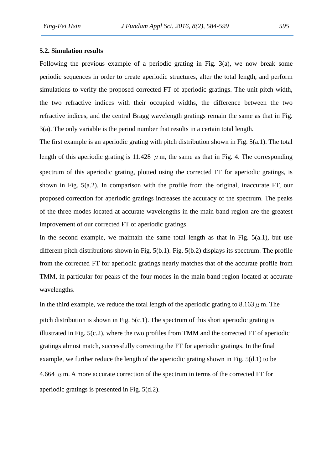#### **5.2. Simulation results**

Following the previous example of a periodic grating in Fig. 3(a), we now break some periodic sequences in order to create aperiodic structures, alter the total length, and perform simulations to verify the proposed corrected FT of aperiodic gratings. The unit pitch width, the two refractive indices with their occupied widths, the difference between the two refractive indices, and the central Bragg wavelength gratings remain the same as that in Fig. 3(a). The only variable is the period number that results in a certain total length.

The first example is an aperiodic grating with pitch distribution shown in Fig. 5(a.1). The total length of this aperiodic grating is 11.428  $\mu$  m, the same as that in Fig. 4. The corresponding spectrum of this aperiodic grating, plotted using the corrected FT for aperiodic gratings, is shown in Fig. 5(a.2). In comparison with the profile from the original, inaccurate FT, our proposed correction for aperiodic gratings increases the accuracy of the spectrum. The peaks of the three modes located at accurate wavelengths in the main band region are the greatest improvement of our corrected FT of aperiodic gratings.

In the second example, we maintain the same total length as that in Fig.  $5(a,1)$ , but use different pitch distributions shown in Fig. 5(b.1). Fig. 5(b.2) displays its spectrum. The profile from the corrected FT for aperiodic gratings nearly matches that of the accurate profile from TMM, in particular for peaks of the four modes in the main band region located at accurate wavelengths.

In the third example, we reduce the total length of the aperiodic grating to 8.163  $\mu$  m. The pitch distribution is shown in Fig. 5(c.1). The spectrum of this short aperiodic grating is illustrated in Fig. 5(c.2), where the two profiles from TMM and the corrected FT of aperiodic gratings almost match, successfully correcting the FT for aperiodic gratings. In the final example, we further reduce the length of the aperiodic grating shown in Fig. 5(d.1) to be 4.664  $\mu$  m. A more accurate correction of the spectrum in terms of the corrected FT for aperiodic gratings is presented in Fig. 5(d.2).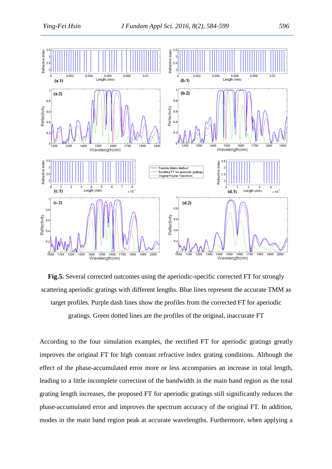



According to the four simulation examples, the rectified FT for aperiodic gratings greatly improves the original FT for high contrast refractive index grating conditions. Although the effect of the phase-accumulated error more or less accompanies an increase in total length, leading to a little incomplete correction of the bandwidth in the main band region as the total grating length increases, the proposed FT for aperiodic gratings still significantly reduces the phase-accumulated error and improves the spectrum accuracy of the original FT. In addition, modes in the main band region peak at accurate wavelengths. Furthermore, when applying a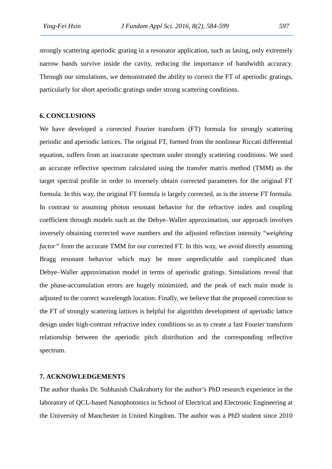strongly scattering aperiodic grating in a resonator application, such as lasing, only extremely narrow bands survive inside the cavity, reducing the importance of bandwidth accuracy. Through our simulations, we demonstrated the ability to correct the FT of aperiodic gratings, particularly for short aperiodic gratings under strong scattering conditions.

### **6. CONCLUSIONS**

We have developed a corrected Fourier transform (FT) formula for strongly scattering periodic and aperiodic lattices. The original FT, formed from the nonlinear Riccati differential equation, suffers from an inaccurate spectrum under strongly scattering conditions. We used an accurate reflective spectrum calculated using the transfer matrix method (TMM) as the target spectral profile in order to inversely obtain corrected parameters for the original FT formula. In this way, the original FT formula is largely corrected, as is the inverse FT formula. In contrast to assuming photon resonant behavior for the refractive index and coupling coefficient through models such as the Debye–Waller approximation, our approach involves inversely obtaining corrected wave numbers and the adjusted reflection intensity "*weighting factor*" from the accurate TMM for our corrected FT. In this way, we avoid directly assuming Bragg resonant behavior which may be more unpredictable and complicated than Debye–Waller approximation model in terms of aperiodic gratings. Simulations reveal that the phase-accumulation errors are hugely minimized, and the peak of each main mode is adjusted to the correct wavelength location. Finally, we believe that the proposed correction to the FT of strongly scattering lattices is helpful for algorithm development of aperiodic lattice design under high-contrast refractive index conditions so as to create a fast Fourier transform relationship between the aperiodic pitch distribution and the corresponding reflective spectrum.

## **7. ACKNOWLEDGEMENTS**

The author thanks Dr. Subhasish Chakraborty for the author's PhD research experience in the laboratory of QCL-based Nanophotonics in School of Electrical and Electronic Engineering at the University of Manchester in United Kingdom. The author was a PhD student since 2010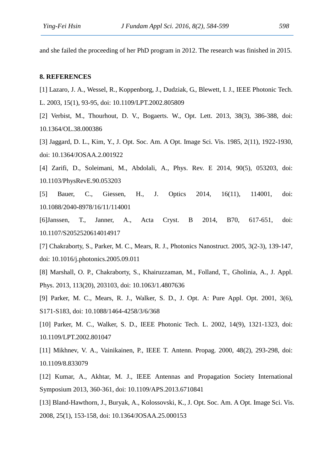and she failed the proceeding of her PhD program in 2012. The research was finished in 2015.

### **8. REFERENCES**

[1] Lazaro, J. A., Wessel, R., Koppenborg, J., Dudziak, G., Blewett, I. J., IEEE Photonic Tech. L. 2003, 15(1), 93-95, doi: 10.1109/LPT.2002.805809

[2] Verbist, M., Thourhout, D. V., Bogaerts. W., Opt. Lett. 2013, 38(3), 386-388, doi: 10.1364/OL.38.000386

[3] Jaggard, D. L., Kim, Y., J. Opt. Soc. Am. A Opt. Image Sci. Vis. 1985, 2(11), 1922-1930, doi: 10.1364/JOSAA.2.001922

[4] Zarifi, D., Soleimani, M., Abdolali, A., Phys. Rev. E 2014, 90(5), 053203, doi: 10.1103/PhysRevE.90.053203

[5] Bauer, C., Giessen, H., J. Optics 2014, 16(11), 114001, doi: 10.1088/2040-8978/16/11/114001

[6]Janssen, T., Janner, A., Acta Cryst. B 2014, B70, 617-651, doi: 10.1107/S2052520614014917

[7] Chakraborty, S., Parker, M. C., Mears, R. J., Photonics Nanostruct. 2005, 3(2-3), 139-147, doi: 10.1016/j.photonics.2005.09.011

[8] Marshall, O. P., Chakraborty, S., Khairuzzaman, M., Folland, T., Gholinia, A., J. Appl. Phys. 2013, 113(20), 203103, doi: 10.1063/1.4807636

[9] Parker, M. C., Mears, R. J., Walker, S. D., J. Opt. A: Pure Appl. Opt. 2001, 3(6), S171-S183, doi: 10.1088/1464-4258/3/6/368

[10] Parker, M. C., Walker, S. D., IEEE Photonic Tech. L. 2002, 14(9), 1321-1323, doi: 10.1109/LPT.2002.801047

[11] Mikhnev, V. A., Vainikainen, P., IEEE T. Antenn. Propag. 2000, 48(2), 293-298, doi: 10.1109/8.833079

[12] Kumar, A., Akhtar, M. J., IEEE Antennas and Propagation Society International Symposium 2013, 360-361, doi: 10.1109/APS.2013.6710841

[13] Bland-Hawthorn, J., Buryak, A., Kolossovski, K., J. Opt. Soc. Am. A Opt. Image Sci. Vis. 2008, 25(1), 153-158, doi: 10.1364/JOSAA.25.000153